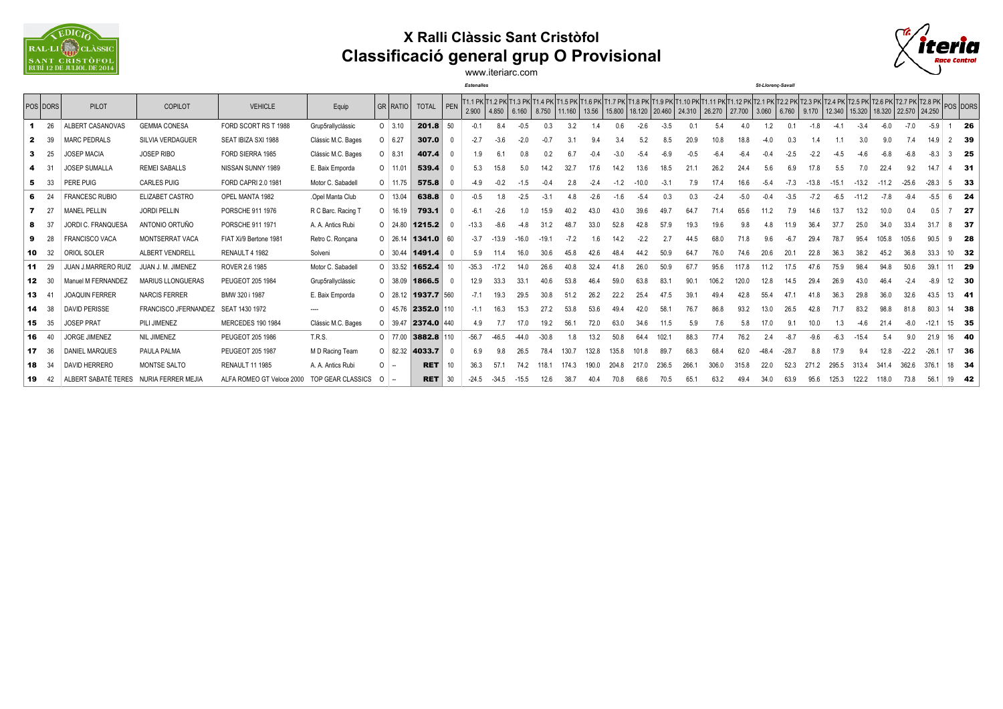

## **X Ralli Clàssic Sant Cristòfol Classificació general grup O Provisional**



www.iteriarc.com

*Estenalles St-Llorenç-Savall*

|     | POS DORS     | <b>PILOT</b>               | COPILOT                     | <b>VEHICLE</b>            | Equip              |          | <b>GR RATIO</b> | <b>TOTAL</b>                | $ $ PEN       | 2.900   |         | 4.850 6.160 8.750 11.160 |         |       | 13.56  |        |         |        | 11.1 PK 11.2 PK 11.3 PK 11.4 PK 11.5 PK 11.6 PK 11.7 PK 11.8 PK 11.9 PK 11.10 PK 11.11 PK 11.12 PK 12.1 PK 12.2 PK 12.3 PK 12.3 PK 12.4 PK 12.5 PK 12.5 PK 12.5 PK 12.5 PK 12.5 PK 12.5 PK 12.5 PK 12.5 PK 12.5 PK 12.5 PK 12.<br>15.800   18.120   20.460   24.310   26.270   27.700   3.060   6.760   9.170   12.340   15.320   18.320   22.570   24.250 |       |        |      |         |         |        |         |         |         |         |          |      |
|-----|--------------|----------------------------|-----------------------------|---------------------------|--------------------|----------|-----------------|-----------------------------|---------------|---------|---------|--------------------------|---------|-------|--------|--------|---------|--------|------------------------------------------------------------------------------------------------------------------------------------------------------------------------------------------------------------------------------------------------------------------------------------------------------------------------------------------------------------|-------|--------|------|---------|---------|--------|---------|---------|---------|---------|----------|------|
|     | 26           | ALBERT CASANOVAS           | <b>GEMMA CONESA</b>         | FORD SCORT RS T 1988      | Grup5rallyclássic  |          | $O$ 3.10        | 201.8                       | 50            |         |         | -0.5                     | 0.3     | 3.2   |        |        | $-2.6$  | $-3.5$ |                                                                                                                                                                                                                                                                                                                                                            |       |        |      |         |         |        |         |         |         | $-5.9$  |          | 26   |
| 2   | - 39         | <b>MARC PEDRALS</b>        | SILVIA VERDAGUER            | SEAT IBIZA SXI 1988       | Clássic M.C. Bages |          | $0 \t 6.27$     | 307.0                       |               | $-2.7$  |         | $-2.0$                   | -0.7    |       | 9.4    |        | 5.2     | 8.5    | 20.9                                                                                                                                                                                                                                                                                                                                                       | 10.8  | 18.8   |      |         |         |        |         |         | 7.4     | 14.9    | 2 39     |      |
|     | - 25         | <b>JOSEP MACIA</b>         | <b>JOSEP RIBO</b>           | FORD SIERRA 1985          | Clássic M.C. Bages |          | $0$ 8.31        | 407.4                       |               |         |         |                          |         |       |        |        |         |        |                                                                                                                                                                                                                                                                                                                                                            |       |        |      |         |         |        |         |         |         |         |          | - 25 |
|     | 31           | <b>JOSEP SUMALLA</b>       | <b>REMEI SABALLS</b>        | NISSAN SUNNY 1989         | E. Baix Emporda    |          | $O$ 11.01       | 539.4                       |               | 5.3     | 15.8    | 50                       |         | 32.7  |        | 14.2   | 13.6    | 18.5   | 21.                                                                                                                                                                                                                                                                                                                                                        | 26.2  | 24.4   |      |         |         |        |         | 22.4    | 9.2     | 14.     | $4$ 31   |      |
| 5   | - 33         | PERE PUIG                  | CARLES PUIG                 | FORD CAPRI 2.0 1981       | Motor C. Sabadell  |          | $O$ 11.75       | 575.8                       |               |         |         |                          |         | 2.8   | $-2.4$ |        | $-10.0$ | $-3.1$ | 7.9                                                                                                                                                                                                                                                                                                                                                        |       | 16.6   |      |         | $-13.8$ |        | $-13.2$ | $-11.2$ | $-25.6$ | $-28.3$ | $5 - 33$ |      |
| 6   | - 24         | <b>FRANCESC RUBIO</b>      | ELIZABET CASTRO             | OPEL MANTA 1982           | .Opel Manta Club   |          | $O$ 13.04       | 638.8                       |               |         |         | $-2.5$                   | $-3.2$  | 4.8   | $-2.6$ | $-1.6$ | $-5.4$  | 0.3    | 0.3                                                                                                                                                                                                                                                                                                                                                        |       | $-5.0$ |      | $-3.5$  |         | $-6.5$ | $-11.2$ |         |         | $-5.5$  |          | - 24 |
|     | 727          | <b>MANEL PELLIN</b>        | <b>JORDI PELLIN</b>         | PORSCHE 911 1976          | R C Barc. Racing 1 |          | $O$ 16.19       | 793.1                       |               |         |         |                          | 15.9    |       | 43.0   |        | 39.6    | 49.7   | 64.7                                                                                                                                                                                                                                                                                                                                                       | 71.4  | 65.6   |      |         | 14.6    | 13.7   | 13.2    | 10.0    | 0.4     | 0.5     |          | - 27 |
|     | - 37         | JORDI C. FRANQUESA         | ANTONIO ORTUÑO              | PORSCHE 911 1971          | A. A. Antics Rubi  |          |                 | $0$ 24.80 1215.2            |               | $-13.3$ |         |                          |         | 48.7  | 33.0   | 52.8   |         | 57.9   | 19.3                                                                                                                                                                                                                                                                                                                                                       | 19.6  |        |      |         |         |        | 25.0    |         | 33.4    |         |          | - 37 |
| 9   | - 28         | <b>FRANCISCO VACA</b>      | <b>MONTSERRAT VACA</b>      | FIAT Xi/9 Bertone 1981    | Retro C. Ronçana   |          |                 | $0 \mid 26.14 \mid 1341.0$  | 60            | $-3.7$  | $-13.9$ | $-16.0$                  | $-19.7$ |       | 1.6    |        |         |        | 44.5                                                                                                                                                                                                                                                                                                                                                       | 68.0  | 71.8   |      |         | 29.4    | 78.7   | 95.4    | 105.8   | 105.6   | 90.5    | 9        | - 28 |
| 10  | 32           | ORIOL SOLER                | ALBERT VENDRELL             | RENAULT 4 1982            | Solveni            |          | $0 \mid 30.44$  | 1491.4                      |               | 5.9     |         | 16.0                     | 30.6    | 45.8  | 42.6   |        | 44.2    | 50.9   | 64.7                                                                                                                                                                                                                                                                                                                                                       | 76.0  | 74.6   | 20.6 |         | 22.8    | 36.3   | 38.2    | 45.2    | 36.8    | 33.3    | 10 32    |      |
| 11  | - 29         | <b>JUAN J.MARRERO RUIZ</b> | JUAN J. M. JIMENEZ          | ROVER 2.6 1985            | Motor C. Sabadell  |          |                 | $0$ 33.52 1652.4            | $10^{-1}$     | $-35.3$ |         | 14.0                     | 26.6    | 40.8  | 32.4   |        | 26.0    | 50.9   | 67.7                                                                                                                                                                                                                                                                                                                                                       | 95.6  | 117.8  |      | 17.5    | 47.6    | 75.9   | 98.4    | 94.8    | 50.6    | 39.     | 11 29    |      |
| 12  | 30           | Manuel M FERNANDEZ         | MARIUS LLONGUERAS           | PEUGEOT 205 1984          | Grup5rallyclássic  |          | $O$ 38.09       | 1866.5                      |               | 12.9    | 33.3    | 33.1                     | 40.6    | 53.8  | 46.4   | 59.0   | 63.8    | 83.1   | 90.1                                                                                                                                                                                                                                                                                                                                                       | 106.2 | 120.0  | 12.8 | 14.5    | 29.4    | 26.9   | 43.0    | 46.4    | $-2.4$  | $-8.9$  | 12 30    |      |
| 13  | -41          | <b>JOAQUIN FERRER</b>      | <b>NARCIS FERRER</b>        | BMW 320 i 1987            | E. Baix Emporda    |          |                 | $0$ 28.12 1937.7 560        |               | $-7.1$  | 19.3    | 29.5                     | 30.8    | 51.2  | 26.2   | 22.2   | 25.4    | 47.5   | 39.1                                                                                                                                                                                                                                                                                                                                                       | 49.4  |        | 55.4 |         |         |        |         |         |         | 43.5    | $13$ 41  |      |
| -14 | - 38         | <b>DAVID PERISSE</b>       | <b>FRANCISCO JFERNANDEZ</b> | SEAT 1430 1972            |                    |          |                 | $0$ 45.76 <b>2352.0</b> 110 |               | $-1.1$  | 16.3    | 15.3                     | 27.2    | 53.8  | 53.6   |        |         | 58.    | 76.7                                                                                                                                                                                                                                                                                                                                                       | 86.8  | 93.2   | 13.0 |         |         |        | 83.2    | 98.8    | 81.8    | 80.3    | 14 38    |      |
| 15  | 35           | <b>JOSEP PRAT</b>          | PILI JIMENEZ                | <b>MERCEDES 190 1984</b>  | Clássic M.C. Bages |          | $O$ 39.47       | 2374.0                      | $ 440\rangle$ | 4.9     |         |                          | 19.2    | 56.7  | 72.0   | 63.0   | 34.6    | 11.5   | 5.9                                                                                                                                                                                                                                                                                                                                                        |       | 5.8    |      |         | 10.0    |        | -4.6    |         | $-8.0$  | $-12.$  | 15 35    |      |
| 16  | 40           | <b>JORGE JIMENEZ</b>       | NIL JIMENEZ                 | PEUGEOT 205 1986          | T.R.S.             |          | $0$ 77.00       | 3882.8                      | 110           | $-56.7$ | $-46.5$ | $-44.0$                  | $-30.8$ | 1.8   | 13.2   | 50.8   | 64.4    | 102.7  | 88.3                                                                                                                                                                                                                                                                                                                                                       | 77.4  | 76.2   |      | $-8.7$  | $-9.6$  | $-6.3$ | $-15.4$ |         | 9.0     | 21.9    | 16 40    |      |
| 17  | 36           | <b>DANIEL MARQUES</b>      | PAULA PALMA                 | PEUGEOT 205 1987          | M D Racing Team    |          | $0 \quad 82.32$ | 4033.7                      |               | 6.9     |         | 26.5                     | 78.4    | 130.7 | 132.8  | 135.8  | 101.8   | 89.7   | 68.3                                                                                                                                                                                                                                                                                                                                                       | 68.4  | 62.0   |      | $-28.7$ | 8.8     | 17.9   | 9.4     | 12.8    | $-22.2$ | $-26.$  | 17 36    |      |
|     | <b>18</b> 34 | <b>DAVID HERRERO</b>       | MONTSE SALTO                | <b>RENAULT 11 1985</b>    | A. A. Antics Rubi  | $\Omega$ | $\sim$          | <b>RET</b>                  | 10            | 36.3    | 57.     | 74.2                     | 118.1   | 174.3 | 190.0  | 204.8  | 217.0   | 236.5  | 266.                                                                                                                                                                                                                                                                                                                                                       | 306.0 | 315.8  | 22.0 | 52.3    | 271.2   | 295.5  | 313.4   | 341.4   | 362.6   | 376.1   | 18 34    |      |
|     | 19 42        | ALBERT SABATÉ TERES        | NURIA FERRER MEJIA          | ALFA ROMEO GT Veloce 2000 | TOP GEAR CLASSICS  | $0 -$    |                 | <b>RET</b>                  | 30            | $-24.5$ | $-34.5$ | $-15.5$                  | 12.6    | 38.7  | 40.4   | 70.8   | 68.6    | 70.5   | 65.1                                                                                                                                                                                                                                                                                                                                                       | 63.2  | 49.4   | 34.0 | 63.9    | 95.6    | 125.3  | 122.2   | 118.0   | 73.8    | 56.1    | 19 42    |      |